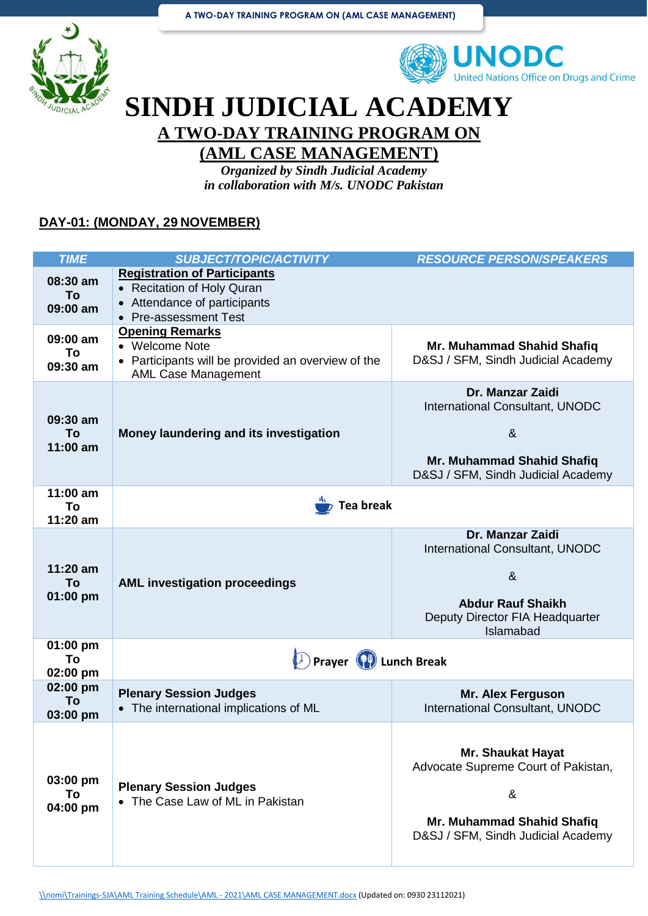



## **SINDH JUDICIAL ACADEMY A TWO-DAY TRAINING PROGRAM ON**

## **(AML CASE MANAGEMENT)**

*Organized by Sindh Judicial Academy in collaboration with M/s. UNODC Pakistan*

#### **DAY-01: (MONDAY, 29 NOVEMBER)**

| <b>TIME</b>                    | <b>SUBJECT/TOPIC/ACTIVITY</b>                                                                                                         | <b>RESOURCE PERSON/SPEAKERS</b>                                                                                                                   |
|--------------------------------|---------------------------------------------------------------------------------------------------------------------------------------|---------------------------------------------------------------------------------------------------------------------------------------------------|
| 08:30 am<br>To<br>09:00 am     | <b>Registration of Participants</b><br>• Recitation of Holy Quran<br>Attendance of participants<br>$\bullet$<br>• Pre-assessment Test |                                                                                                                                                   |
| 09:00 am<br>To<br>09:30 am     | <b>Opening Remarks</b><br>• Welcome Note<br>Participants will be provided an overview of the<br><b>AML Case Management</b>            | Mr. Muhammad Shahid Shafiq<br>D&SJ / SFM, Sindh Judicial Academy                                                                                  |
| 09:30 am<br>To<br>11:00 am     | Money laundering and its investigation                                                                                                | Dr. Manzar Zaidi<br>International Consultant, UNODC<br>8 <sub>x</sub><br>Mr. Muhammad Shahid Shafiq<br>D&SJ / SFM, Sindh Judicial Academy         |
| $11:00$ am<br>To<br>$11:20$ am | <b>Tea break</b>                                                                                                                      |                                                                                                                                                   |
| $11:20$ am<br>To<br>$01:00$ pm | <b>AML investigation proceedings</b>                                                                                                  | Dr. Manzar Zaidi<br>International Consultant, UNODC<br>8 <sub>x</sub><br><b>Abdur Rauf Shaikh</b><br>Deputy Director FIA Headquarter<br>Islamabad |
| 01:00 pm<br>To<br>02:00 pm     | Prayer (P) Lunch Break                                                                                                                |                                                                                                                                                   |
| 02:00 pm<br>To<br>03:00 pm     | <b>Plenary Session Judges</b><br>• The international implications of ML                                                               | <b>Mr. Alex Ferguson</b><br>International Consultant, UNODC                                                                                       |
| 03:00 pm<br>To<br>04:00 pm     | <b>Plenary Session Judges</b><br>• The Case Law of ML in Pakistan                                                                     | <b>Mr. Shaukat Hayat</b><br>Advocate Supreme Court of Pakistan,<br>&<br>Mr. Muhammad Shahid Shafiq<br>D&SJ / SFM, Sindh Judicial Academy          |